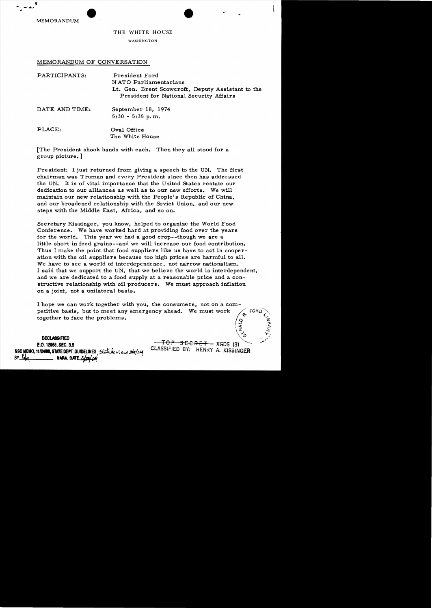MEMORANDUM

## THE WHITE HOUSE

 $\bullet$  .

..

WASHINGTON

MEMORANDUM OF CONVERSATION

| PARTICIPANTS:  | President Ford<br>NATO Parliamentarians<br>Lt. Gen. Brent Scowcroft, Deputy Assistant to the<br>President for National Security Affairs |
|----------------|-----------------------------------------------------------------------------------------------------------------------------------------|
| DATE AND TIME: | September 18, 1974<br>$5:30 - 5:35 p.m.$                                                                                                |
| PLACE:         | Oval Office<br>The White House                                                                                                          |

[The President shook hands with each. Then they all stood for a group picture. ]

President: I just returned from giving a speech to the UN. The first chairman was Truman and every President since then has addressed the UN. It is of vital innportance that the United States restate our dedication to our alliances as well as to our new efforts. We will maintain our new relationship with the People's Republic of China. and our broadened relationship with the Soviet Union, and our new steps with the Middle East, Africa, and so on.

Secretary Kissinger, you know, helped to organize the World Food Conference. We have worked hard at providing food over the years for the world. This year we had a good crop--though we are a little short in feed grains--and we will increase our food contribution. Thus I make the point that food suppliers like us have to act in cooperation with the oil suppliers because too high prices are harmful to all. We have to see a world of interdependence, not narrow nationalism. I said that we support the UN, that we believe the world is interdependent, and we are dedicated to a food supply at a reasonable price and a con structive relationship with oil producers. We nnust approach inflation on a joint, not a unilateral basis.

I hope we can work together with you, the consumers, not on a competitive basis, but to meet any emergency ahead. We must work together to face the problems.  $\frac{1}{2}$ း

**DECLASSIFIED** *DECLASSIFIED* **DECLASSIFIED**<br>
E.O. 12968, SEC. 3.5  $\overline{TOP}$  SECRET XGDS (3) CLASSIFIED BY; HENRY A. KISSINGER **NSC** MEMO, 111M8, **STAlE** DfYr. GUtOEUNES !:J;;iJ.i..t: v: t...iJ *:?Jh/lJ"f*  BY ~( •**MARA.** om. ~

j.e :;.. \~ *::r::* "

""

 $\sqrt{2}$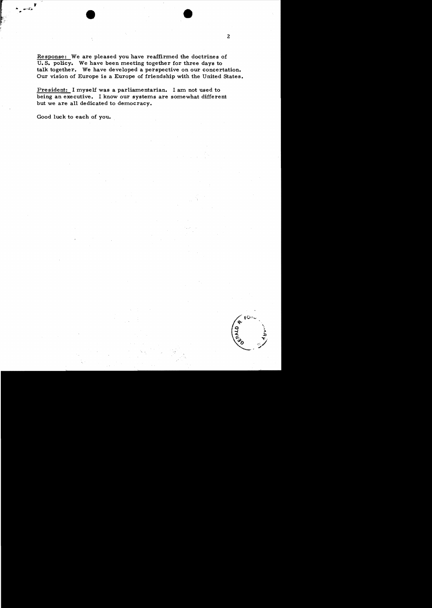Response: We are pleased you have reaffirmed the doctrines of U. S. policy. We have been meeting together for three days to talk together. We have developed a perspective on our concertation. Our vision of Europe is a Europe of friendship with the United States.

President: I myself was a parliamentarian. I am not used to being an executive. I know our systems are somewhat different but we are all dedicated to democracy.

Good luck to each of you.

FÖi